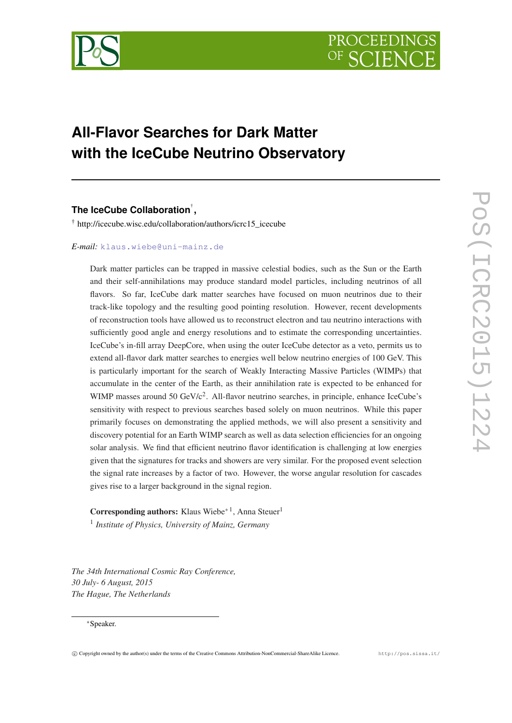

# **All-Flavor Searches for Dark Matter with the IceCube Neutrino Observatory**

# **The IceCube Collaboration**† **,**

† http://icecube.wisc.edu/collaboration/authors/icrc15\_icecube

#### *E-mail:* [klaus.wiebe@uni-mainz.de](mailto:klaus.wiebe@uni-mainz.de)

Dark matter particles can be trapped in massive celestial bodies, such as the Sun or the Earth and their self-annihilations may produce standard model particles, including neutrinos of all flavors. So far, IceCube dark matter searches have focused on muon neutrinos due to their track-like topology and the resulting good pointing resolution. However, recent developments of reconstruction tools have allowed us to reconstruct electron and tau neutrino interactions with sufficiently good angle and energy resolutions and to estimate the corresponding uncertainties. IceCube's in-fill array DeepCore, when using the outer IceCube detector as a veto, permits us to extend all-flavor dark matter searches to energies well below neutrino energies of 100 GeV. This is particularly important for the search of Weakly Interacting Massive Particles (WIMPs) that accumulate in the center of the Earth, as their annihilation rate is expected to be enhanced for WIMP masses around 50 GeV/c<sup>2</sup>. All-flavor neutrino searches, in principle, enhance IceCube's sensitivity with respect to previous searches based solely on muon neutrinos. While this paper primarily focuses on demonstrating the applied methods, we will also present a sensitivity and discovery potential for an Earth WIMP search as well as data selection efficiencies for an ongoing solar analysis. We find that efficient neutrino flavor identification is challenging at low energies given that the signatures for tracks and showers are very similar. For the proposed event selection the signal rate increases by a factor of two. However, the worse angular resolution for cascades gives rise to a larger background in the signal region.

Corresponding authors: Klaus Wiebe<sup>∗1</sup>, Anna Steuer<sup>1</sup> 1 *Institute of Physics, University of Mainz, Germany*

*The 34th International Cosmic Ray Conference, 30 July- 6 August, 2015 The Hague, The Netherlands*

#### <sup>∗</sup>Speaker.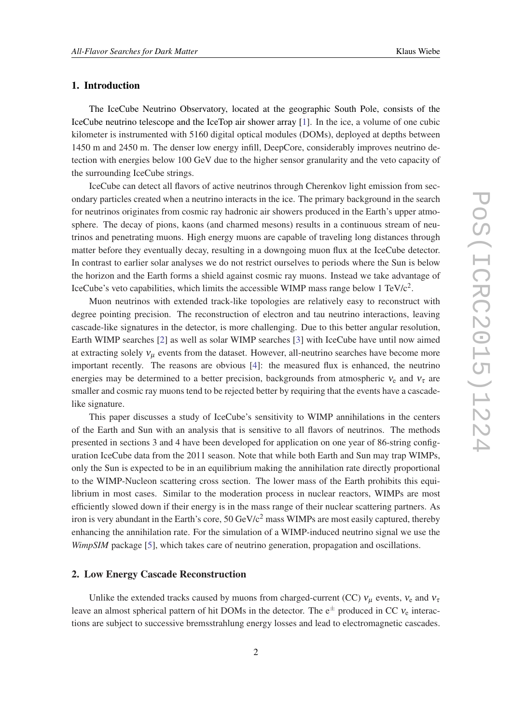# 1. Introduction

The IceCube Neutrino Observatory, located at the geographic South Pole, consists of the IceCube neutrino telescope and the IceTop air shower array [\[1\]](#page-7-0). In the ice, a volume of one cubic kilometer is instrumented with 5160 digital optical modules (DOMs), deployed at depths between 1450 m and 2450 m. The denser low energy infill, DeepCore, considerably improves neutrino detection with energies below 100 GeV due to the higher sensor granularity and the veto capacity of the surrounding IceCube strings.

IceCube can detect all flavors of active neutrinos through Cherenkov light emission from secondary particles created when a neutrino interacts in the ice. The primary background in the search for neutrinos originates from cosmic ray hadronic air showers produced in the Earth's upper atmosphere. The decay of pions, kaons (and charmed mesons) results in a continuous stream of neutrinos and penetrating muons. High energy muons are capable of traveling long distances through matter before they eventually decay, resulting in a downgoing muon flux at the IceCube detector. In contrast to earlier solar analyses we do not restrict ourselves to periods where the Sun is below the horizon and the Earth forms a shield against cosmic ray muons. Instead we take advantage of IceCube's veto capabilities, which limits the accessible WIMP mass range below 1 TeV/ $c^2$ .

Muon neutrinos with extended track-like topologies are relatively easy to reconstruct with degree pointing precision. The reconstruction of electron and tau neutrino interactions, leaving cascade-like signatures in the detector, is more challenging. Due to this better angular resolution, Earth WIMP searches [\[2](#page-7-0)] as well as solar WIMP searches [\[3\]](#page-7-0) with IceCube have until now aimed at extracting solely  $v_{\mu}$  events from the dataset. However, all-neutrino searches have become more important recently. The reasons are obvious [[4](#page-7-0)]: the measured flux is enhanced, the neutrino energies may be determined to a better precision, backgrounds from atmospheric  $v_e$  and  $v_\tau$  are smaller and cosmic ray muons tend to be rejected better by requiring that the events have a cascadelike signature.

This paper discusses a study of IceCube's sensitivity to WIMP annihilations in the centers of the Earth and Sun with an analysis that is sensitive to all flavors of neutrinos. The methods presented in sections 3 and 4 have been developed for application on one year of 86-string configuration IceCube data from the 2011 season. Note that while both Earth and Sun may trap WIMPs, only the Sun is expected to be in an equilibrium making the annihilation rate directly proportional to the WIMP-Nucleon scattering cross section. The lower mass of the Earth prohibits this equilibrium in most cases. Similar to the moderation process in nuclear reactors, WIMPs are most efficiently slowed down if their energy is in the mass range of their nuclear scattering partners. As iron is very abundant in the Earth's core,  $50 \text{ GeV}/c^2$  mass WIMPs are most easily captured, thereby enhancing the annihilation rate. For the simulation of a WIMP-induced neutrino signal we use the *WimpSIM* package [[5](#page-7-0)], which takes care of neutrino generation, propagation and oscillations.

#### 2. Low Energy Cascade Reconstruction

Unlike the extended tracks caused by muons from charged-current (CC)  $v_u$  events,  $v_e$  and  $v_\tau$ leave an almost spherical pattern of hit DOMs in the detector. The  $e^{\pm}$  produced in CC  $v_e$  interactions are subject to successive bremsstrahlung energy losses and lead to electromagnetic cascades.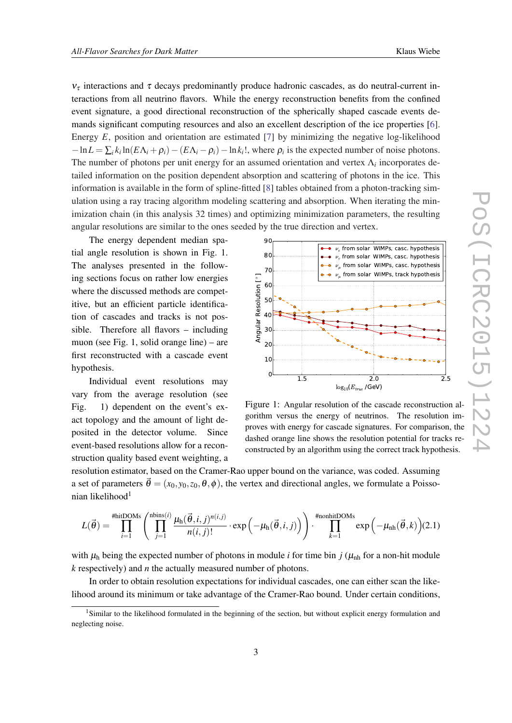$v_{\tau}$  interactions and  $\tau$  decays predominantly produce hadronic cascades, as do neutral-current interactions from all neutrino flavors. While the energy reconstruction benefits from the confined event signature, a good directional reconstruction of the spherically shaped cascade events demands significant computing resources and also an excellent description of the ice properties [\[6\]](#page-7-0). Energy *E*, position and orientation are estimated [\[7\]](#page-7-0) by minimizing the negative log-likelihood  $-\ln L = \sum_i k_i \ln(E\Lambda_i + \rho_i) - (E\Lambda_i - \rho_i) - \ln k_i!$ , where  $\rho_i$  is the expected number of noise photons. The number of photons per unit energy for an assumed orientation and vertex Λ*<sup>i</sup>* incorporates detailed information on the position dependent absorption and scattering of photons in the ice. This information is available in the form of spline-fitted [\[8\]](#page-7-0) tables obtained from a photon-tracking simulation using a ray tracing algorithm modeling scattering and absorption. When iterating the minimization chain (in this analysis 32 times) and optimizing minimization parameters, the resulting angular resolutions are similar to the ones seeded by the true direction and vertex.

The energy dependent median spatial angle resolution is shown in Fig. 1. The analyses presented in the following sections focus on rather low energies where the discussed methods are competitive, but an efficient particle identification of cascades and tracks is not possible. Therefore all flavors – including muon (see Fig. 1, solid orange line) – are first reconstructed with a cascade event hypothesis.

Individual event resolutions may vary from the average resolution (see Fig. 1) dependent on the event's exact topology and the amount of light deposited in the detector volume. Since event-based resolutions allow for a reconstruction quality based event weighting, a



Figure 1: Angular resolution of the cascade reconstruction algorithm versus the energy of neutrinos. The resolution improves with energy for cascade signatures. For comparison, the dashed orange line shows the resolution potential for tracks reconstructed by an algorithm using the correct track hypothesis.

resolution estimator, based on the Cramer-Rao upper bound on the variance, was coded. Assuming a set of parameters  $\vec{\theta} = (x_0, y_0, z_0, \theta, \phi)$ , the vertex and directional angles, we formulate a Poissonian likelihood<sup>1</sup>

$$
L(\vec{\theta}) = \prod_{i=1}^{\text{4fitIDOMs}} \left( \prod_{j=1}^{\text{nbins}(i)} \frac{\mu_h(\vec{\theta}, i, j)^{n(i,j)}}{n(i,j)!} \cdot \exp\left(-\mu_h(\vec{\theta}, i, j)\right) \right) \cdot \prod_{k=1}^{\text{4nonhitIDOMs}} \exp\left(-\mu_{nh}(\vec{\theta}, k)\right) (2.1)
$$

with  $\mu_h$  being the expected number of photons in module *i* for time bin *j* ( $\mu_{nh}$  for a non-hit module *k* respectively) and *n* the actually measured number of photons.

In order to obtain resolution expectations for individual cascades, one can either scan the likelihood around its minimum or take advantage of the Cramer-Rao bound. Under certain conditions,

<sup>&</sup>lt;sup>1</sup>Similar to the likelihood formulated in the beginning of the section, but without explicit energy formulation and neglecting noise.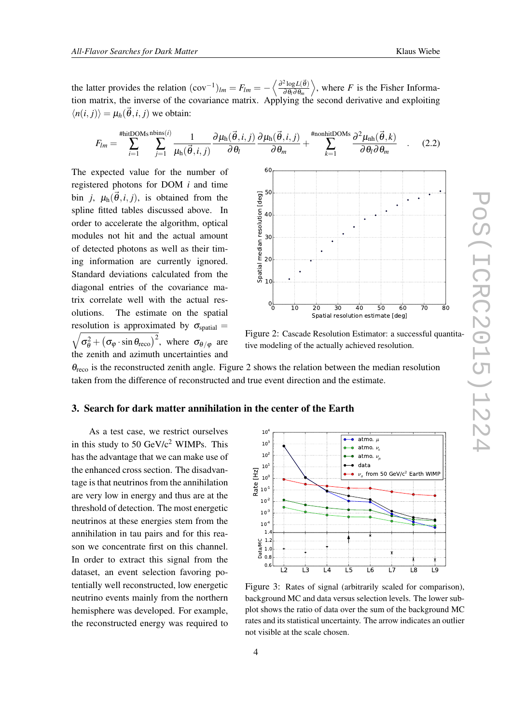the latter provides the relation  $(cov^{-1})_{lm} = F_{lm} = -\left\langle \frac{\partial^2 \log L(\vec{\theta})}{\partial \theta_l \partial \theta_m} \right\rangle$ ∂ θ*l*∂ θ*m*  $\rangle$ , where *F* is the Fisher Information matrix, the inverse of the covariance matrix. Applying the second derivative and exploiting  $\langle n(i, j) \rangle = \mu_h(\vec{\theta}, i, j)$  we obtain:

$$
F_{lm} = \sum_{i=1}^{\text{HhitDOMs nbins}(i)} \sum_{j=1}^{\text{hins}(i)} \frac{1}{\mu_h(\vec{\theta}, i, j)} \frac{\partial \mu_h(\vec{\theta}, i, j)}{\partial \theta_l} \frac{\partial \mu_h(\vec{\theta}, i, j)}{\partial \theta_m} + \sum_{k=1}^{\text{HnonhitDOMs}} \frac{\partial^2 \mu_{nh}(\vec{\theta}, k)}{\partial \theta_l \partial \theta_m} \quad . \tag{2.2}
$$

The expected value for the number of registered photons for DOM *i* and time bin *j*,  $\mu_h(\vec{\theta}, i, j)$ , is obtained from the spline fitted tables discussed above. In order to accelerate the algorithm, optical modules not hit and the actual amount of detected photons as well as their timing information are currently ignored. Standard deviations calculated from the diagonal entries of the covariance matrix correlate well with the actual resolutions. The estimate on the spatial  $\sqrt{\sigma_{\theta}^2 + (\sigma_{\varphi} \cdot \sin \theta_{\text{reco}})^2}$ , where  $\sigma_{\theta/\varphi}$  are resolution is approximated by  $\sigma_{spatial}$  = the zenith and azimuth uncertainties and



Figure 2: Cascade Resolution Estimator: a successful quantitative modeling of the actually achieved resolution.

 $\theta_{\text{reco}}$  is the reconstructed zenith angle. Figure 2 shows the relation between the median resolution taken from the difference of reconstructed and true event direction and the estimate.

# 3. Search for dark matter annihilation in the center of the Earth

As a test case, we restrict ourselves in this study to 50  $GeV/c^2$  WIMPs. This has the advantage that we can make use of the enhanced cross section. The disadvantage is that neutrinos from the annihilation are very low in energy and thus are at the threshold of detection. The most energetic neutrinos at these energies stem from the annihilation in tau pairs and for this reason we concentrate first on this channel. In order to extract this signal from the dataset, an event selection favoring potentially well reconstructed, low energetic neutrino events mainly from the northern hemisphere was developed. For example, the reconstructed energy was required to



Figure 3: Rates of signal (arbitrarily scaled for comparison), background MC and data versus selection levels. The lower subplot shows the ratio of data over the sum of the background MC rates and its statistical uncertainty. The arrow indicates an outlier not visible at the scale chosen.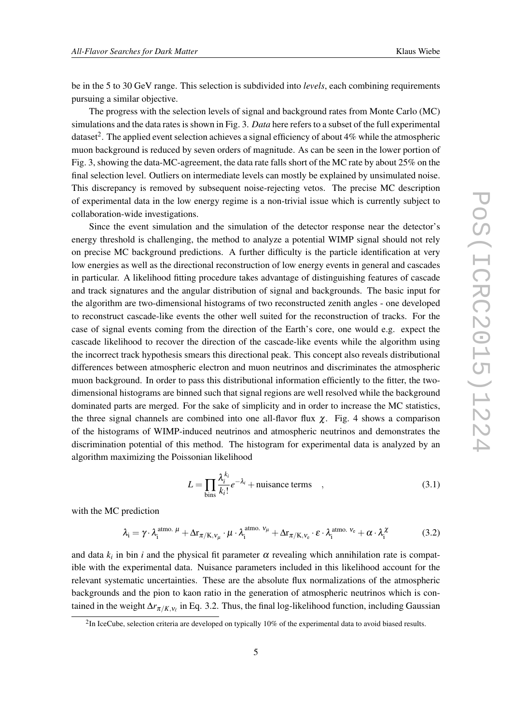be in the 5 to 30 GeV range. This selection is subdivided into *levels*, each combining requirements pursuing a similar objective.

The progress with the selection levels of signal and background rates from Monte Carlo (MC) simulations and the data rates is shown in Fig. 3. *Data* here refers to a subset of the full experimental dataset<sup>2</sup>. The applied event selection achieves a signal efficiency of about 4% while the atmospheric muon background is reduced by seven orders of magnitude. As can be seen in the lower portion of Fig. 3, showing the data-MC-agreement, the data rate falls short of the MC rate by about 25% on the final selection level. Outliers on intermediate levels can mostly be explained by unsimulated noise. This discrepancy is removed by subsequent noise-rejecting vetos. The precise MC description of experimental data in the low energy regime is a non-trivial issue which is currently subject to collaboration-wide investigations.

Since the event simulation and the simulation of the detector response near the detector's energy threshold is challenging, the method to analyze a potential WIMP signal should not rely on precise MC background predictions. A further difficulty is the particle identification at very low energies as well as the directional reconstruction of low energy events in general and cascades in particular. A likelihood fitting procedure takes advantage of distinguishing features of cascade and track signatures and the angular distribution of signal and backgrounds. The basic input for the algorithm are two-dimensional histograms of two reconstructed zenith angles - one developed to reconstruct cascade-like events the other well suited for the reconstruction of tracks. For the case of signal events coming from the direction of the Earth's core, one would e.g. expect the cascade likelihood to recover the direction of the cascade-like events while the algorithm using the incorrect track hypothesis smears this directional peak. This concept also reveals distributional differences between atmospheric electron and muon neutrinos and discriminates the atmospheric muon background. In order to pass this distributional information efficiently to the fitter, the twodimensional histograms are binned such that signal regions are well resolved while the background dominated parts are merged. For the sake of simplicity and in order to increase the MC statistics, the three signal channels are combined into one all-flavor flux  $\chi$ . Fig. 4 shows a comparison of the histograms of WIMP-induced neutrinos and atmospheric neutrinos and demonstrates the discrimination potential of this method. The histogram for experimental data is analyzed by an algorithm maximizing the Poissonian likelihood

$$
L = \prod_{\text{bins}} \frac{\lambda_i^{k_i}}{k_i!} e^{-\lambda_i} + \text{nuisance terms} , \qquad (3.1)
$$

with the MC prediction

$$
\lambda_{i} = \gamma \cdot \lambda_{i}^{\text{atmo. }\mu} + \Delta r_{\pi/K, \nu_{\mu}} \cdot \mu \cdot \lambda_{i}^{\text{atmo. }\nu_{\mu}} + \Delta r_{\pi/K, \nu_{e}} \cdot \varepsilon \cdot \lambda_{i}^{\text{atmo. }\nu_{e}} + \alpha \cdot \lambda_{i}^{\chi}
$$
(3.2)

and data  $k_i$  in bin *i* and the physical fit parameter  $\alpha$  revealing which annihilation rate is compatible with the experimental data. Nuisance parameters included in this likelihood account for the relevant systematic uncertainties. These are the absolute flux normalizations of the atmospheric backgrounds and the pion to kaon ratio in the generation of atmospheric neutrinos which is contained in the weight  $\Delta r_{\pi/K,\nu_\ell}$  in Eq. 3.2. Thus, the final log-likelihood function, including Gaussian

 $2$ In IceCube, selection criteria are developed on typically 10% of the experimental data to avoid biased results.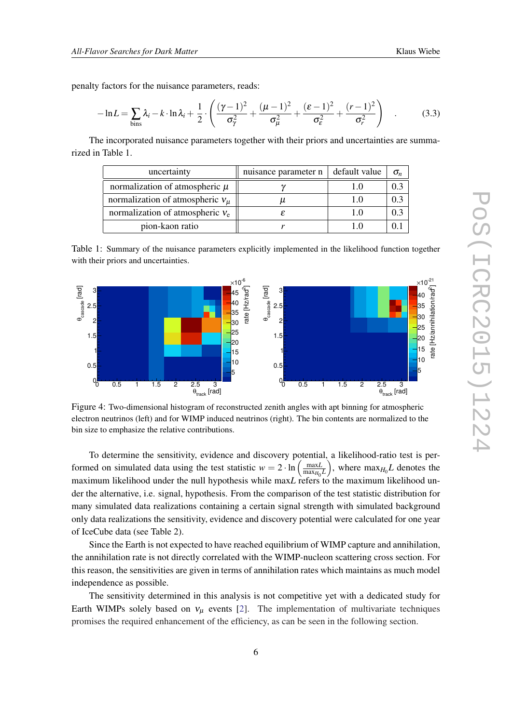penalty factors for the nuisance parameters, reads:

$$
-\ln L = \sum_{\text{bins}} \lambda_i - k \cdot \ln \lambda_i + \frac{1}{2} \cdot \left( \frac{(\gamma - 1)^2}{\sigma_{\gamma}^2} + \frac{(\mu - 1)^2}{\sigma_{\mu}^2} + \frac{(\varepsilon - 1)^2}{\sigma_{\varepsilon}^2} + \frac{(r - 1)^2}{\sigma_{r}^2} \right) \quad . \tag{3.3}
$$

The incorporated nuisance parameters together with their priors and uncertainties are summarized in Table 1.

| uncertainty                            | nuisance parameter n | default value | $\sigma_n$ |
|----------------------------------------|----------------------|---------------|------------|
| normalization of atmospheric $\mu$     |                      |               |            |
| normalization of atmospheric $v_{\mu}$ |                      |               | 0.3        |
| normalization of atmospheric $v_e$     |                      |               | 0.3        |
| pion-kaon ratio                        |                      |               |            |

Table 1: Summary of the nuisance parameters explicitly implemented in the likelihood function together with their priors and uncertainties.



Figure 4: Two-dimensional histogram of reconstructed zenith angles with apt binning for atmospheric electron neutrinos (left) and for WIMP induced neutrinos (right). The bin contents are normalized to the bin size to emphasize the relative contributions.

To determine the sensitivity, evidence and discovery potential, a likelihood-ratio test is performed on simulated data using the test statistic  $w = 2 \cdot \ln \left( \frac{\text{max}L}{\text{max}L} \right)$  $\left(\frac{\text{max}L}{\text{max}_{H_0}L}\right)$ , where  $\text{max}_{H_0}L$  denotes the maximum likelihood under the null hypothesis while max*L* refers to the maximum likelihood under the alternative, i.e. signal, hypothesis. From the comparison of the test statistic distribution for many simulated data realizations containing a certain signal strength with simulated background only data realizations the sensitivity, evidence and discovery potential were calculated for one year of IceCube data (see Table 2).

Since the Earth is not expected to have reached equilibrium of WIMP capture and annihilation, the annihilation rate is not directly correlated with the WIMP-nucleon scattering cross section. For this reason, the sensitivities are given in terms of annihilation rates which maintains as much model independence as possible.

The sensitivity determined in this analysis is not competitive yet with a dedicated study for Earth WIMPs solely based on  $v_{\mu}$  events [\[2\]](#page-7-0). The implementation of multivariate techniques promises the required enhancement of the efficiency, as can be seen in the following section.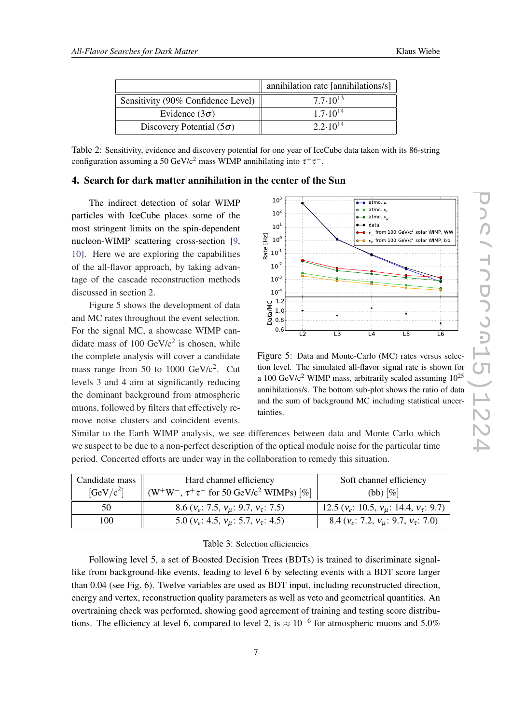|                                    | annihilation rate [annihilations/s] |
|------------------------------------|-------------------------------------|
| Sensitivity (90% Confidence Level) | $7.7 \cdot 10^{13}$                 |
| Evidence $(3\sigma)$               | $1.7 \cdot 10^{14}$                 |
| Discovery Potential $(5\sigma)$    | $2.2 \cdot 10^{14}$                 |

Table 2: Sensitivity, evidence and discovery potential for one year of IceCube data taken with its 86-string configuration assuming a 50 GeV/c<sup>2</sup> mass WIMP annihilating into  $\tau^+\tau^-$ .

#### 4. Search for dark matter annihilation in the center of the Sun

The indirect detection of solar WIMP particles with IceCube places some of the most stringent limits on the spin-dependent nucleon-WIMP scattering cross-section [\[9,](#page-7-0) [10](#page-7-0)]. Here we are exploring the capabilities of the all-flavor approach, by taking advantage of the cascade reconstruction methods discussed in section 2.

Figure 5 shows the development of data and MC rates throughout the event selection. For the signal MC, a showcase WIMP candidate mass of  $100 \text{ GeV}/c^2$  is chosen, while the complete analysis will cover a candidate mass range from 50 to 1000  $GeV/c^2$ . Cut levels 3 and 4 aim at significantly reducing the dominant background from atmospheric muons, followed by filters that effectively remove noise clusters and coincident events.



Figure 5: Data and Monte-Carlo (MC) rates versus selection level. The simulated all-flavor signal rate is shown for a 100 GeV/ $c^2$  WIMP mass, arbitrarily scaled assuming  $10^{25}$ annihilations/s. The bottom sub-plot shows the ratio of data and the sum of background MC including statistical uncertainties.

Similar to the Earth WIMP analysis, we see differences between data and Monte Carlo which we suspect to be due to a non-perfect description of the optical module noise for the particular time period. Concerted efforts are under way in the collaboration to remedy this situation.

| Candidate mass<br>$[GeV/c^2]$ | Hard channel efficiency<br>$(W^+W^-, \tau^+\tau^-$ for 50 GeV/c <sup>2</sup> WIMPs) [%] | Soft channel efficiency<br>$(b\overline{b})$ [%]   |
|-------------------------------|-----------------------------------------------------------------------------------------|----------------------------------------------------|
| 50                            | 8.6 ( $v_e$ : 7.5, $v_u$ : 9.7, $v_\tau$ : 7.5)                                         | 12.5 ( $v_e$ : 10.5, $v_u$ : 14.4, $v_\tau$ : 9.7) |
| 100                           | 5.0 ( $v_e$ : 4.5, $v_u$ : 5.7, $v_\tau$ : 4.5)                                         | 8.4 ( $v_e$ : 7.2, $v_u$ : 9.7, $v_\tau$ : 7.0)    |

#### Table 3: Selection efficiencies

Following level 5, a set of Boosted Decision Trees (BDTs) is trained to discriminate signallike from background-like events, leading to level 6 by selecting events with a BDT score larger than 0.04 (see Fig. 6). Twelve variables are used as BDT input, including reconstructed direction, energy and vertex, reconstruction quality parameters as well as veto and geometrical quantities. An overtraining check was performed, showing good agreement of training and testing score distributions. The efficiency at level 6, compared to level 2, is  $\approx 10^{-6}$  for atmospheric muons and 5.0%